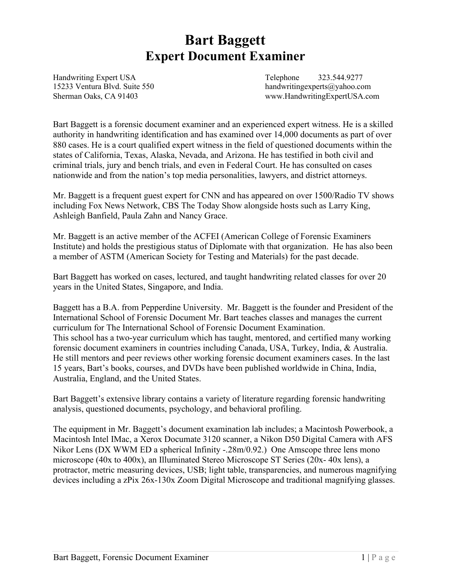# **Bart Baggett Expert Document Examiner**

Handwriting Expert USA Telephone 323.544.9277

15233 Ventura Blvd. Suite 550 handwritingexperts@yahoo.com Sherman Oaks, CA 91403 www.HandwritingExpertUSA.com

Bart Baggett is a forensic document examiner and an experienced expert witness. He is a skilled authority in handwriting identification and has examined over 14,000 documents as part of over 880 cases. He is a court qualified expert witness in the field of questioned documents within the states of California, Texas, Alaska, Nevada, and Arizona. He has testified in both civil and criminal trials, jury and bench trials, and even in Federal Court. He has consulted on cases nationwide and from the nation's top media personalities, lawyers, and district attorneys.

Mr. Baggett is a frequent guest expert for CNN and has appeared on over 1500/Radio TV shows including Fox News Network, CBS The Today Show alongside hosts such as Larry King, Ashleigh Banfield, Paula Zahn and Nancy Grace.

Mr. Baggett is an active member of the ACFEI (American College of Forensic Examiners Institute) and holds the prestigious status of Diplomate with that organization. He has also been a member of ASTM (American Society for Testing and Materials) for the past decade.

Bart Baggett has worked on cases, lectured, and taught handwriting related classes for over 20 years in the United States, Singapore, and India.

Baggett has a B.A. from Pepperdine University. Mr. Baggett is the founder and President of the International School of Forensic Document Mr. Bart teaches classes and manages the current curriculum for The International School of Forensic Document Examination. This school has a two-year curriculum which has taught, mentored, and certified many working forensic document examiners in countries including Canada, USA, Turkey, India, & Australia. He still mentors and peer reviews other working forensic document examiners cases. In the last 15 years, Bart's books, courses, and DVDs have been published worldwide in China, India, Australia, England, and the United States.

Bart Baggett's extensive library contains a variety of literature regarding forensic handwriting analysis, questioned documents, psychology, and behavioral profiling.

The equipment in Mr. Baggett's document examination lab includes; a Macintosh Powerbook, a Macintosh Intel IMac, a Xerox Documate 3120 scanner, a Nikon D50 Digital Camera with AFS Nikor Lens (DX WWM ED a spherical Infinity -.28m/0.92.) One Amscope three lens mono microscope (40x to 400x), an Illuminated Stereo Microscope ST Series (20x- 40x lens), a protractor, metric measuring devices, USB; light table, transparencies, and numerous magnifying devices including a zPix 26x-130x Zoom Digital Microscope and traditional magnifying glasses.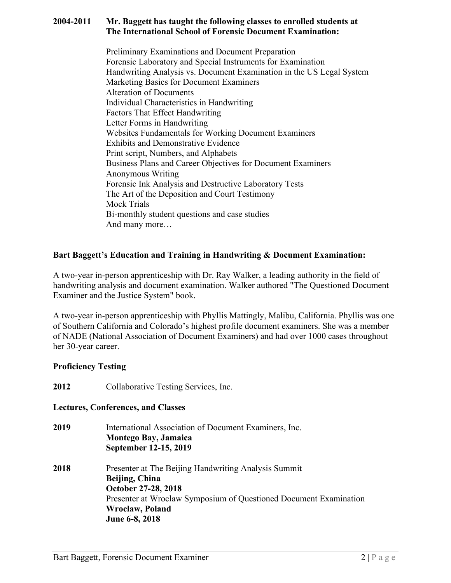#### **2004-2011 Mr. Baggett has taught the following classes to enrolled students at The International School of Forensic Document Examination:**

Preliminary Examinations and Document Preparation Forensic Laboratory and Special Instruments for Examination Handwriting Analysis vs. Document Examination in the US Legal System Marketing Basics for Document Examiners Alteration of Documents Individual Characteristics in Handwriting Factors That Effect Handwriting Letter Forms in Handwriting Websites Fundamentals for Working Document Examiners Exhibits and Demonstrative Evidence Print script, Numbers, and Alphabets Business Plans and Career Objectives for Document Examiners Anonymous Writing Forensic Ink Analysis and Destructive Laboratory Tests The Art of the Deposition and Court Testimony Mock Trials Bi-monthly student questions and case studies And many more…

## **Bart Baggett's Education and Training in Handwriting & Document Examination:**

A two-year in-person apprenticeship with Dr. Ray Walker, a leading authority in the field of handwriting analysis and document examination. Walker authored "The Questioned Document Examiner and the Justice System" book.

A two-year in-person apprenticeship with Phyllis Mattingly, Malibu, California. Phyllis was one of Southern California and Colorado's highest profile document examiners. She was a member of NADE (National Association of Document Examiners) and had over 1000 cases throughout her 30-year career.

## **Proficiency Testing**

**2012** Collaborative Testing Services, Inc.

## **Lectures, Conferences, and Classes**

| 2019 | International Association of Document Examiners, Inc.             |
|------|-------------------------------------------------------------------|
|      | Montego Bay, Jamaica                                              |
|      | September 12-15, 2019                                             |
| 2018 | Presenter at The Beijing Handwriting Analysis Summit              |
|      | Beijing, China                                                    |
|      | October 27-28, 2018                                               |
|      | Presenter at Wroclaw Symposium of Questioned Document Examination |
|      | Wroclaw, Poland                                                   |
|      | June 6-8, 2018                                                    |
|      |                                                                   |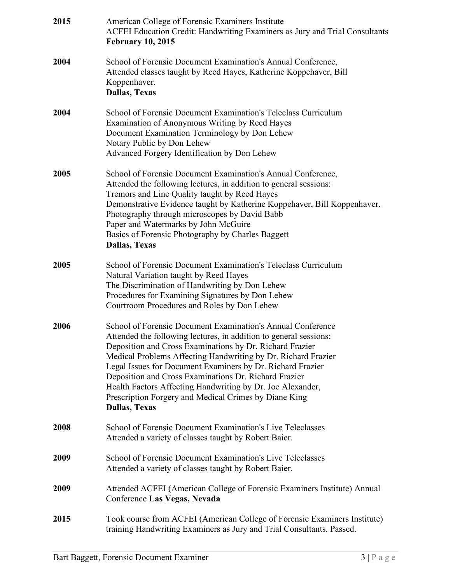| 2015 | American College of Forensic Examiners Institute<br>ACFEI Education Credit: Handwriting Examiners as Jury and Trial Consultants<br><b>February 10, 2015</b>                                                                                                                                                                                                                                                                                                                                                                         |
|------|-------------------------------------------------------------------------------------------------------------------------------------------------------------------------------------------------------------------------------------------------------------------------------------------------------------------------------------------------------------------------------------------------------------------------------------------------------------------------------------------------------------------------------------|
| 2004 | School of Forensic Document Examination's Annual Conference,<br>Attended classes taught by Reed Hayes, Katherine Koppehaver, Bill<br>Koppenhaver.<br><b>Dallas, Texas</b>                                                                                                                                                                                                                                                                                                                                                           |
| 2004 | School of Forensic Document Examination's Teleclass Curriculum<br>Examination of Anonymous Writing by Reed Hayes<br>Document Examination Terminology by Don Lehew<br>Notary Public by Don Lehew<br>Advanced Forgery Identification by Don Lehew                                                                                                                                                                                                                                                                                     |
| 2005 | School of Forensic Document Examination's Annual Conference,<br>Attended the following lectures, in addition to general sessions:<br>Tremors and Line Quality taught by Reed Hayes<br>Demonstrative Evidence taught by Katherine Koppehaver, Bill Koppenhaver.<br>Photography through microscopes by David Babb<br>Paper and Watermarks by John McGuire<br>Basics of Forensic Photography by Charles Baggett<br><b>Dallas, Texas</b>                                                                                                |
| 2005 | School of Forensic Document Examination's Teleclass Curriculum<br>Natural Variation taught by Reed Hayes<br>The Discrimination of Handwriting by Don Lehew<br>Procedures for Examining Signatures by Don Lehew<br>Courtroom Procedures and Roles by Don Lehew                                                                                                                                                                                                                                                                       |
| 2006 | School of Forensic Document Examination's Annual Conference<br>Attended the following lectures, in addition to general sessions:<br>Deposition and Cross Examinations by Dr. Richard Frazier<br>Medical Problems Affecting Handwriting by Dr. Richard Frazier<br>Legal Issues for Document Examiners by Dr. Richard Frazier<br>Deposition and Cross Examinations Dr. Richard Frazier<br>Health Factors Affecting Handwriting by Dr. Joe Alexander,<br>Prescription Forgery and Medical Crimes by Diane King<br><b>Dallas, Texas</b> |
| 2008 | School of Forensic Document Examination's Live Teleclasses<br>Attended a variety of classes taught by Robert Baier.                                                                                                                                                                                                                                                                                                                                                                                                                 |
| 2009 | School of Forensic Document Examination's Live Teleclasses<br>Attended a variety of classes taught by Robert Baier.                                                                                                                                                                                                                                                                                                                                                                                                                 |
| 2009 | Attended ACFEI (American College of Forensic Examiners Institute) Annual<br>Conference Las Vegas, Nevada                                                                                                                                                                                                                                                                                                                                                                                                                            |
| 2015 | Took course from ACFEI (American College of Forensic Examiners Institute)<br>training Handwriting Examiners as Jury and Trial Consultants. Passed.                                                                                                                                                                                                                                                                                                                                                                                  |